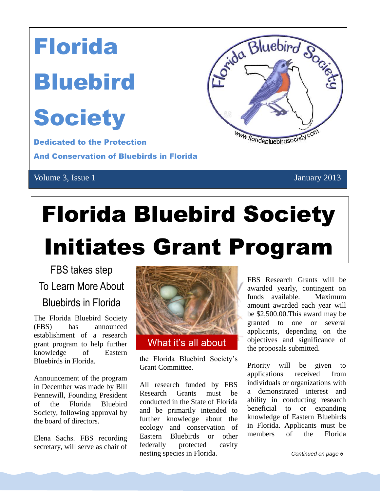

# Florida Bluebird Society Initiates Grant Program

FBS takes step To Learn More About Bluebirds in Florida

The Florida Bluebird Society (FBS) has announced establishment of a research grant program to help further knowledge of Eastern Bluebirds in Florida.

Announcement of the program in December was made by Bill Pennewill, Founding President of the Florida Bluebird Society, following approval by the board of directors.

Elena Sachs. FBS recording secretary, will serve as chair of



the Florida Bluebird Society's Grant Committee.

All research funded by FBS Research Grants must be conducted in the State of Florida and be primarily intended to further knowledge about the ecology and conservation of Eastern Bluebirds or other federally protected cavity nesting species in Florida.

FBS Research Grants will be awarded yearly, contingent on funds available. Maximum amount awarded each year will be \$2,500.00.This award may be granted to one or several applicants, depending on the objectives and significance of the proposals submitted.

Priority will be given to applications received from individuals or organizations with a demonstrated interest and ability in conducting research beneficial to or expanding knowledge of Eastern Bluebirds in Florida. Applicants must be members of the Florida

the Florida Bluebird Society.

**Continued on page 6** sole decision on awarding the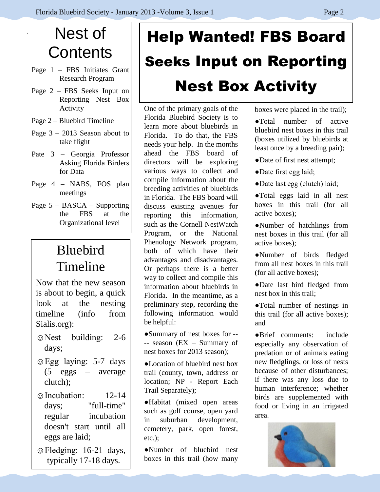## Nest of **Contents**

- Page 1 FBS Initiates Grant Research Program
- Page 2 FBS Seeks Input on Reporting Nest Box Activity
- Page 2 Bluebird Timeline
- Page  $3 2013$  Season about to take flight
- Pate 3 Georgia Professor Asking Florida Birders for Data
- Page 4 NABS, FOS plan meetings
- Page 5 BASCA Supporting the FBS at the Organizational level

### Bluebird Timeline

Now that the new season is about to begin, a quick look at the nesting timeline (info from Sialis.org):

- ☺Nest building: 2-6 days;
- ☺Egg laying: 5-7 days (5 eggs – average clutch);
- ☺Incubation: 12-14 days; "full-time" regular incubation doesn't start until all eggs are laid;
- ☺Fledging: 16-21 days, typically 17-18 days.

# Help Wanted! FBS Board Seeks Input on Reporting Nest Box Activity

One of the primary goals of the Florida Bluebird Society is to learn more about bluebirds in Florida. To do that, the FBS needs your help. In the months ahead the FBS board of directors will be exploring various ways to collect and compile information about the breeding activities of bluebirds in Florida. The FBS board will discuss existing avenues for reporting this information, such as the Cornell NestWatch Program, or the National Phenology Network program, both of which have their advantages and disadvantages. Or perhaps there is a better way to collect and compile this information about bluebirds in Florida. In the meantime, as a preliminary step, recording the following information would be helpful:

●Summary of nest boxes for -- -- season (EX – Summary of nest boxes for 2013 season);

●Location of bluebird nest box trail (county, town, address or location; NP - Report Each Trail Separately);

●Habitat (mixed open areas such as golf course, open yard in suburban development, cemetery, park, open forest, etc.);

●Number of bluebird nest boxes in this trail (how many boxes were placed in the trail);

●Total number of active bluebird nest boxes in this trail (boxes utilized by bluebirds at least once by a breeding pair);

- ●Date of first nest attempt;
- ●Date first egg laid;
- ●Date last egg (clutch) laid;
- ●Total eggs laid in all nest boxes in this trail (for all active boxes);
- ●Number of hatchlings from nest boxes in this trail (for all active boxes);
- ●Number of birds fledged from all nest boxes in this trail (for all active boxes);
- ●Date last bird fledged from nest box in this trail;

●Total number of nestings in this trail (for all active boxes); and

●Brief comments: include especially any observation of predation or of animals eating new fledglings, or loss of nests because of other disturbances; if there was any loss due to human interference; whether birds are supplemented with food or living in an irrigated area.

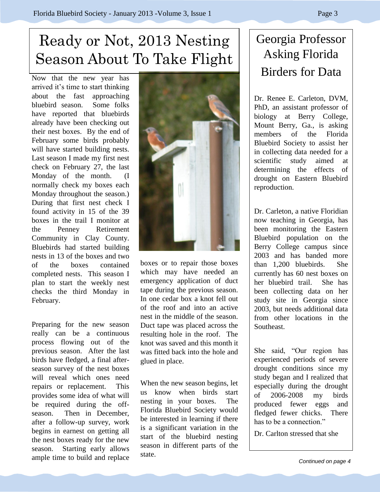### Ready or Not, 2013 Nesting Season About To Take Flight

Now that the new year has arrived it's time to start thinking about the fast approaching bluebird season. Some folks have reported that bluebirds already have been checking out their nest boxes. By the end of February some birds probably will have started building nests. Last season I made my first nest check on February 27, the last Monday of the month. (I normally check my boxes each Monday throughout the season.) During that first nest check I found activity in 15 of the 39 boxes in the trail I monitor at the Penney Retirement Community in Clay County. Bluebirds had started building nests in 13 of the boxes and two of the boxes contained completed nests. This season I plan to start the weekly nest checks the third Monday in February.

Preparing for the new season really can be a continuous process flowing out of the previous season. After the last birds have fledged, a final afterseason survey of the nest boxes will reveal which ones need repairs or replacement. This provides some idea of what will be required during the offseason. Then in December, after a follow-up survey, work begins in earnest on getting all the nest boxes ready for the new season. Starting early allows ample time to build and replace



emergency application of duct tape during the previous season. In one cedar box a knot fell out of the roof and into an active nest in the middle of the season. Duct tape was placed across the resulting hole in the roof. The knot was saved and this month it was fitted back into the hole and glued in place.

When the new season begins, let us know when birds start nesting in your boxes. The Florida Bluebird Society would be interested in learning if there is a significant variation in the start of the bluebird nesting season in different parts of the state.

### Georgia Professor Asking Florida Birders for Data

Dr. Renee E. Carleton, DVM, PhD, an assistant professor of biology at Berry College, Mount Berry, Ga., is asking members of the Florida Bluebird Society to assist her in collecting data needed for a scientific study aimed at determining the effects of drought on Eastern Bluebird reproduction.

Dr. Carleton, a native Floridian now teaching in Georgia, has been monitoring the Eastern Bluebird population on the Berry College campus since 2003 and has banded more than 1,200 bluebirds. She currently has 60 nest boxes on her bluebird trail. She has been collecting data on her study site in Georgia since 2003, but needs additional data from other locations in the Southeast.

She said, "Our region has experienced periods of severe drought conditions since my study began and I realized that especially during the drought of 2006-2008 my birds produced fewer eggs and fledged fewer chicks. There has to be a connection."

Dr. Carlton stressed that she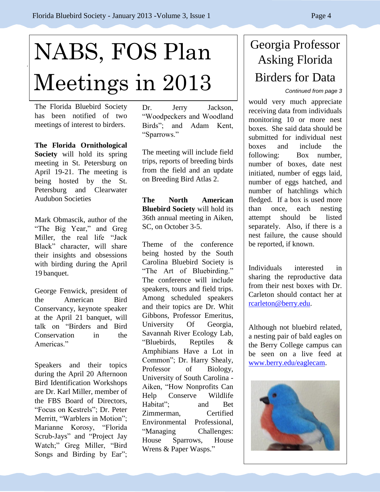# NABS, FOS Plan Meetings in 2013

The Florida Bluebird Society has been notified of two meetings of interest to birders.

**The Florida Ornithological Society** will hold its spring meeting in St. Petersburg on April 19-21. The meeting is being hosted by the St. Petersburg and Clearwater Audubon Societies

Mark Obmascik, author of the "The Big Year," and Greg Miller, the real life "Jack Black" character, will share their insights and obsessions with birding during the April 19 banquet.

George Fenwick, president of the American Bird Conservancy, keynote speaker at the April 21 banquet, will talk on "Birders and Bird Conservation in the Americas<sup>"</sup>

Speakers and their topics during the April 20 Afternoon Bird Identification Workshops are Dr. Karl Miller, member of the FBS Board of Directors, "Focus on Kestrels"; Dr. Peter Merritt, "Warblers in Motion"; Marianne Korosy, "Florida Scrub-Jays" and "Project Jay Watch;" Greg Miller, "Bird Songs and Birding by Ear"; Dr. Jerry Jackson, "Woodpeckers and Woodland Birds"; and Adam Kent, "Sparrows."

The meeting will include field trips, reports of breeding birds from the field and an update on Breeding Bird Atlas 2.

**The North American Bluebird Society** will hold its 36th annual meeting in Aiken, SC, on October 3-5.

Theme of the conference being hosted by the South Carolina Bluebird Society is "The Art of Bluebirding." The conference will include speakers, tours and field trips. Among scheduled speakers and their topics are Dr. Whit Gibbons, Professor Emeritus, University Of Georgia, Savannah River Ecology Lab, "Bluebirds, Reptiles & Amphibians Have a Lot in Common"; Dr. Harry Shealy, Professor of Biology, University of South Carolina - Aiken, "How Nonprofits Can Help Conserve Wildlife Habitat"; and Bet Zimmerman, Certified Environmental Professional, "Managing Challenges: House Sparrows, House Wrens & Paper Wasps."

Registration Forms will be in

### Georgia Professor Asking Florida Birders for Data

*Continued from page 3*

would very much appreciate receiving data from individuals monitoring 10 or more nest boxes. She said data should be submitted for individual nest boxes and include the following: Box number, number of boxes, date nest initiated, number of eggs laid, number of eggs hatched, and number of hatchlings which fledged. If a box is used more than once, each nesting attempt should be listed separately. Also, if there is a nest failure, the cause should be reported, if known.

Individuals interested in sharing the reproductive data from their nest boxes with Dr. Carleton should contact her at [rcarleton@berry.edu.](mailto:rcarleton@berry.edu)

Although not bluebird related, a nesting pair of bald eagles on the Berry College campus can be seen on a live feed at [www.berry.edu/eaglecam.](http://www.berry.edu/eaglecam)

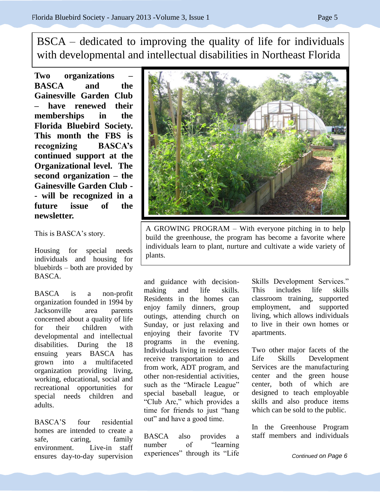BSCA – dedicated to improving the quality of life for individuals with developmental and intellectual disabilities in Northeast Florida

**Two organizations – BASCA and the Gainesville Garden Club – have renewed their memberships in the Florida Bluebird Society. This month the FBS is recognizing BASCA's continued support at the Organizational level. The second organization – the Gainesville Garden Club - - will be recognized in a future issue of the newsletter.**

This is BASCA's story.

Housing for special needs individuals and housing for bluebirds – both are provided by BASCA.

BASCA is a non-profit organization founded in 1994 by Jacksonville area parents concerned about a quality of life for their children with developmental and intellectual disabilities. During the 18 ensuing years BASCA has grown into a multifaceted organization providing living, working, educational, social and recreational opportunities for special needs children and adults.

BASCA'S four residential homes are intended to create a safe, caring, family environment. Live-in staff ensures day-to-day supervision



and guidance with decisionmaking and life skills. Residents in the homes can enjoy family dinners, group outings, attending church on Sunday, or just relaxing and enjoying their favorite TV programs in the evening. Individuals living in residences receive transportation to and from work, ADT program, and other non-residential activities, such as the "Miracle League" special baseball league, or "Club Arc," which provides a time for friends to just "hang out" and have a good time.

BASCA also provides a number of "learning experiences" through its "Life Skills Development Services." This includes life skills classroom training, supported employment, and supported living, which allows individuals to live in their own homes or apartments.

Two other major facets of the Life Skills Development Services are the manufacturing center and the green house center, both of which are designed to teach employable skills and also produce items which can be sold to the public.

In the Greenhouse Program staff members and individuals